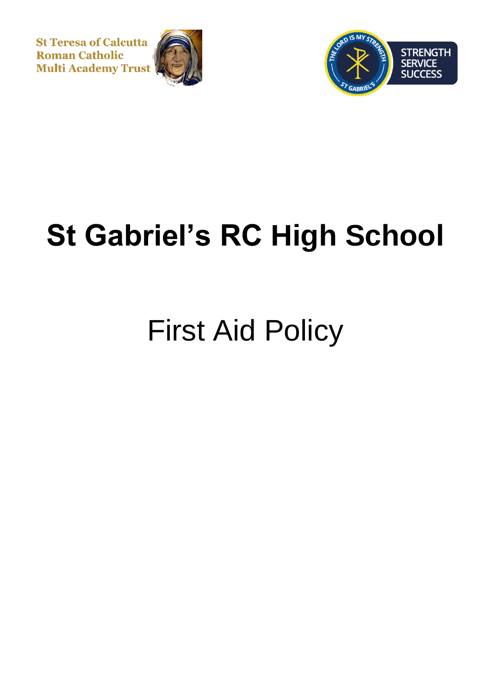**St Teresa of Calcutta Roman Catholic Multi Academy Trust** 





# **St Gabriel's RC High School**

## First Aid Policy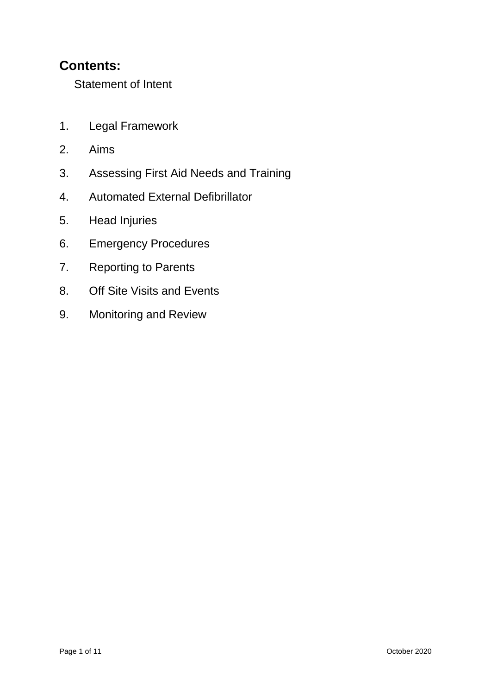### **Contents:**

Statement of Intent

- 1. Legal Framework
- 2. Aims
- 3. Assessing First Aid Needs and Training
- 4. Automated External Defibrillator
- 5. Head Injuries
- 6. Emergency Procedures
- 7. Reporting to Parents
- 8. Off Site Visits and Events
- 9. Monitoring and Review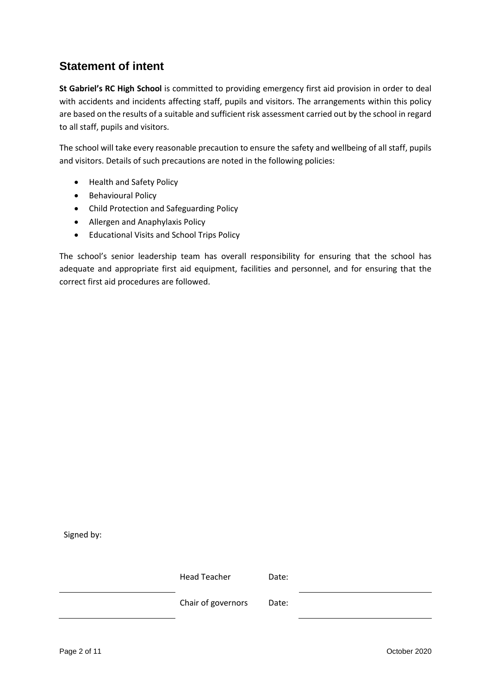### **Statement of intent**

**St Gabriel's RC High School** is committed to providing emergency first aid provision in order to deal with accidents and incidents affecting staff, pupils and visitors. The arrangements within this policy are based on the results of a suitable and sufficient risk assessment carried out by the school in regard to all staff, pupils and visitors.

The school will take every reasonable precaution to ensure the safety and wellbeing of all staff, pupils and visitors. Details of such precautions are noted in the following policies:

- Health and Safety Policy
- **•** Behavioural Policy
- Child Protection and Safeguarding Policy
- Allergen and Anaphylaxis Policy
- Educational Visits and School Trips Policy

The school's senior leadership team has overall responsibility for ensuring that the school has adequate and appropriate first aid equipment, facilities and personnel, and for ensuring that the correct first aid procedures are followed.

Signed by:

Head Teacher **Date:** Chair of governors Date: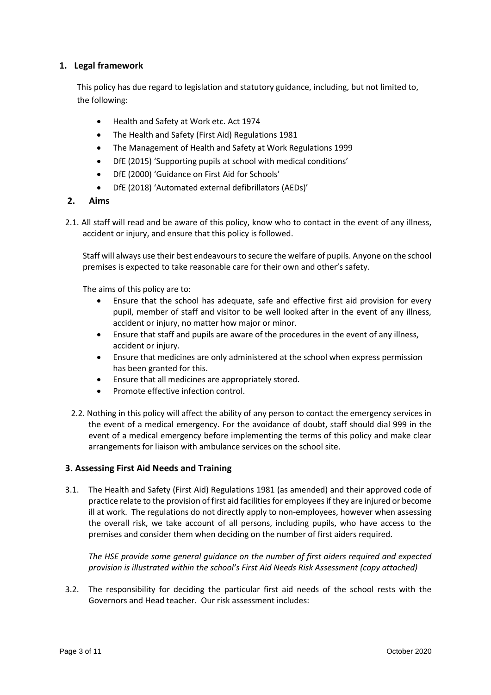#### **1. Legal framework**

This policy has due regard to legislation and statutory guidance, including, but not limited to, the following:

- Health and Safety at Work etc. Act 1974
- The Health and Safety (First Aid) Regulations 1981
- The Management of Health and Safety at Work Regulations 1999
- DfE (2015) 'Supporting pupils at school with medical conditions'
- DfE (2000) 'Guidance on First Aid for Schools'
- DfE (2018) 'Automated external defibrillators (AEDs)'

#### **2. Aims**

2.1. All staff will read and be aware of this policy, know who to contact in the event of any illness, accident or injury, and ensure that this policy is followed.

Staff will always use their best endeavours to secure the welfare of pupils. Anyone on the school premises is expected to take reasonable care for their own and other's safety.

The aims of this policy are to:

- Ensure that the school has adequate, safe and effective first aid provision for every pupil, member of staff and visitor to be well looked after in the event of any illness, accident or injury, no matter how major or minor.
- Ensure that staff and pupils are aware of the procedures in the event of any illness, accident or injury.
- Ensure that medicines are only administered at the school when express permission has been granted for this.
- Ensure that all medicines are appropriately stored.
- Promote effective infection control.
- 2.2. Nothing in this policy will affect the ability of any person to contact the emergency services in the event of a medical emergency. For the avoidance of doubt, staff should dial 999 in the event of a medical emergency before implementing the terms of this policy and make clear arrangements for liaison with ambulance services on the school site.

#### **3. Assessing First Aid Needs and Training**

3.1. The Health and Safety (First Aid) Regulations 1981 (as amended) and their approved code of practice relate to the provision of first aid facilities for employees if they are injured or become ill at work. The regulations do not directly apply to non-employees, however when assessing the overall risk, we take account of all persons, including pupils, who have access to the premises and consider them when deciding on the number of first aiders required.

*The HSE provide some general guidance on the number of first aiders required and expected provision is illustrated within the school's First Aid Needs Risk Assessment (copy attached)* 

3.2. The responsibility for deciding the particular first aid needs of the school rests with the Governors and Head teacher. Our risk assessment includes: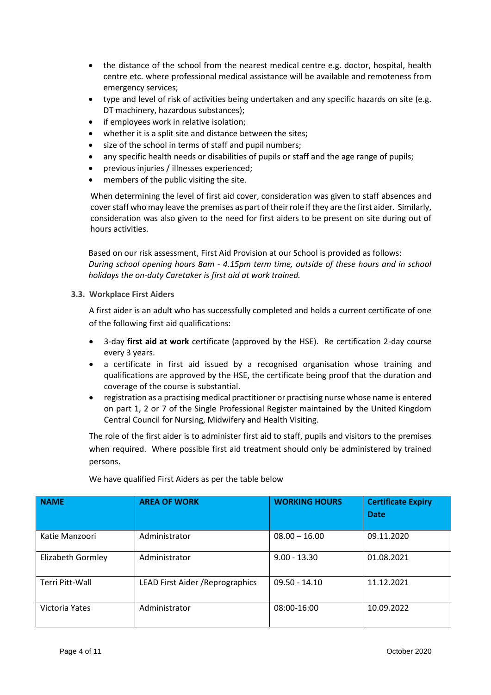- the distance of the school from the nearest medical centre e.g. doctor, hospital, health centre etc. where professional medical assistance will be available and remoteness from emergency services;
- type and level of risk of activities being undertaken and any specific hazards on site (e.g. DT machinery, hazardous substances);
- if employees work in relative isolation;
- whether it is a split site and distance between the sites;
- size of the school in terms of staff and pupil numbers;
- any specific health needs or disabilities of pupils or staff and the age range of pupils;
- previous injuries / illnesses experienced;
- members of the public visiting the site.

When determining the level of first aid cover, consideration was given to staff absences and cover staff who may leave the premises as part of their role if they are the first aider. Similarly, consideration was also given to the need for first aiders to be present on site during out of hours activities.

Based on our risk assessment, First Aid Provision at our School is provided as follows: *During school opening hours 8am - 4.15pm term time, outside of these hours and in school holidays the on-duty Caretaker is first aid at work trained.*

#### **3.3. Workplace First Aiders**

A first aider is an adult who has successfully completed and holds a current certificate of one of the following first aid qualifications:

- 3-day **first aid at work** certificate (approved by the HSE). Re certification 2-day course every 3 years.
- a certificate in first aid issued by a recognised organisation whose training and qualifications are approved by the HSE, the certificate being proof that the duration and coverage of the course is substantial.
- registration as a practising medical practitioner or practising nurse whose name is entered on part 1, 2 or 7 of the Single Professional Register maintained by the United Kingdom Central Council for Nursing, Midwifery and Health Visiting.

The role of the first aider is to administer first aid to staff, pupils and visitors to the premises when required. Where possible first aid treatment should only be administered by trained persons.

| <b>NAME</b>       | <b>AREA OF WORK</b>              | <b>WORKING HOURS</b> | <b>Certificate Expiry</b><br><b>Date</b> |
|-------------------|----------------------------------|----------------------|------------------------------------------|
| Katie Manzoori    | Administrator                    | $08.00 - 16.00$      | 09.11.2020                               |
| Elizabeth Gormley | Administrator                    | $9.00 - 13.30$       | 01.08.2021                               |
| Terri Pitt-Wall   | LEAD First Aider / Reprographics | $09.50 - 14.10$      | 11.12.2021                               |
| Victoria Yates    | Administrator                    | 08:00-16:00          | 10.09.2022                               |

We have qualified First Aiders as per the table below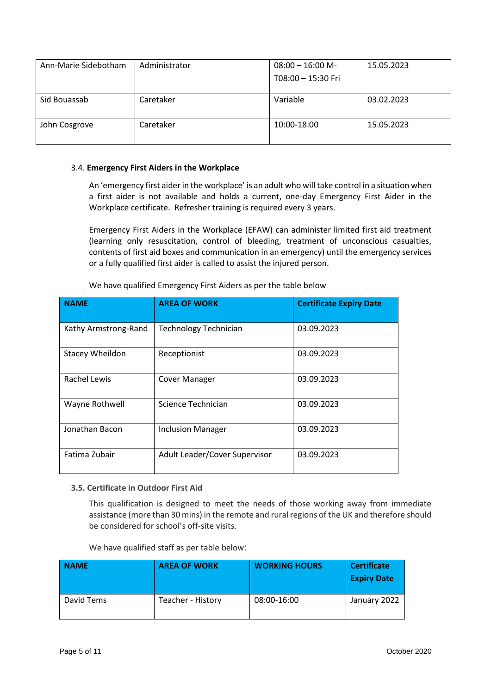| Ann-Marie Sidebotham | Administrator | $08:00 - 16:00$ M- | 15.05.2023 |
|----------------------|---------------|--------------------|------------|
|                      |               | T08:00 - 15:30 Fri |            |
|                      |               |                    |            |
| Sid Bouassab         | Caretaker     | Variable           | 03.02.2023 |
| John Cosgrove        | Caretaker     | 10:00-18:00        | 15.05.2023 |

#### 3.4. **Emergency First Aiders in the Workplace**

An 'emergency first aider in the workplace' is an adult who will take control in a situation when a first aider is not available and holds a current, one-day Emergency First Aider in the Workplace certificate. Refresher training is required every 3 years.

Emergency First Aiders in the Workplace (EFAW) can administer limited first aid treatment (learning only resuscitation, control of bleeding, treatment of unconscious casualties, contents of first aid boxes and communication in an emergency) until the emergency services or a fully qualified first aider is called to assist the injured person.

| <b>NAME</b>            | <b>AREA OF WORK</b>           | <b>Certificate Expiry Date</b> |
|------------------------|-------------------------------|--------------------------------|
| Kathy Armstrong-Rand   | <b>Technology Technician</b>  | 03.09.2023                     |
| <b>Stacey Wheildon</b> | Receptionist                  | 03.09.2023                     |
| Rachel Lewis           | <b>Cover Manager</b>          | 03.09.2023                     |
| Wayne Rothwell         | Science Technician            | 03.09.2023                     |
| Jonathan Bacon         | <b>Inclusion Manager</b>      | 03.09.2023                     |
| Fatima Zubair          | Adult Leader/Cover Supervisor | 03.09.2023                     |

We have qualified Emergency First Aiders as per the table below

#### **3.5. Certificate in Outdoor First Aid**

This qualification is designed to meet the needs of those working away from immediate assistance (more than 30 mins) in the remote and rural regions of the UK and therefore should be considered for school's off-site visits*.*

|  | We have qualified staff as per table below: |  |
|--|---------------------------------------------|--|
|--|---------------------------------------------|--|

| <b>NAME</b> | <b>AREA OF WORK</b> | <b>WORKING HOURS</b> | <b>Certificate</b><br><b>Expiry Date</b> |
|-------------|---------------------|----------------------|------------------------------------------|
| David Tems  | Teacher - History   | 08:00-16:00          | January 2022                             |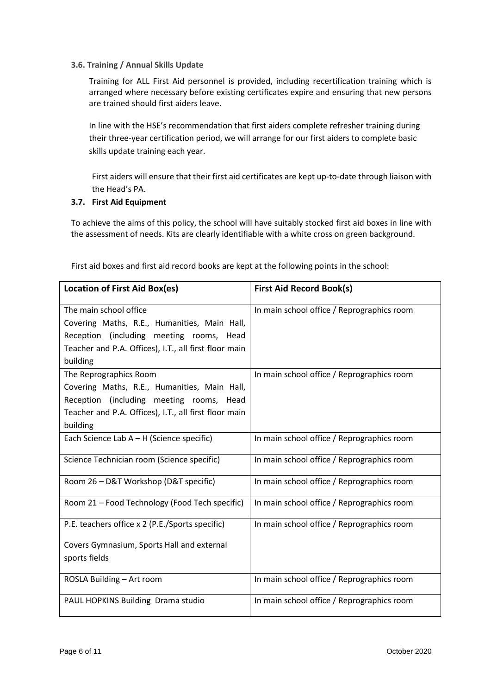#### **3.6. Training / Annual Skills Update**

Training for ALL First Aid personnel is provided, including recertification training which is arranged where necessary before existing certificates expire and ensuring that new persons are trained should first aiders leave.

In line with the HSE's recommendation that first aiders complete refresher training during their three-year certification period, we will arrange for our first aiders to complete basic skills update training each year.

First aiders will ensure that their first aid certificates are kept up-to-date through liaison with the Head's PA.

#### **3.7. First Aid Equipment**

To achieve the aims of this policy, the school will have suitably stocked first aid boxes in line with the assessment of needs. Kits are clearly identifiable with a white cross on green background.

| <b>Location of First Aid Box(es)</b>                  | <b>First Aid Record Book(s)</b>            |
|-------------------------------------------------------|--------------------------------------------|
| The main school office                                | In main school office / Reprographics room |
| Covering Maths, R.E., Humanities, Main Hall,          |                                            |
| Reception (including meeting rooms, Head              |                                            |
| Teacher and P.A. Offices), I.T., all first floor main |                                            |
| building                                              |                                            |
| The Reprographics Room                                | In main school office / Reprographics room |
| Covering Maths, R.E., Humanities, Main Hall,          |                                            |
| Reception (including meeting rooms, Head              |                                            |
| Teacher and P.A. Offices), I.T., all first floor main |                                            |
| building                                              |                                            |
| Each Science Lab $A - H$ (Science specific)           | In main school office / Reprographics room |
| Science Technician room (Science specific)            | In main school office / Reprographics room |
| Room 26 - D&T Workshop (D&T specific)                 | In main school office / Reprographics room |
| Room 21 - Food Technology (Food Tech specific)        | In main school office / Reprographics room |
| P.E. teachers office x 2 (P.E./Sports specific)       | In main school office / Reprographics room |
| Covers Gymnasium, Sports Hall and external            |                                            |
| sports fields                                         |                                            |
| ROSLA Building - Art room                             | In main school office / Reprographics room |
| PAUL HOPKINS Building Drama studio                    | In main school office / Reprographics room |

First aid boxes and first aid record books are kept at the following points in the school: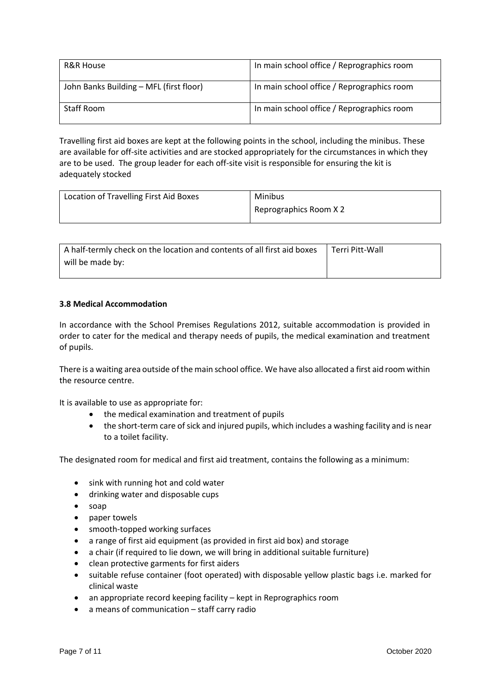| R&R House                               | In main school office / Reprographics room |
|-----------------------------------------|--------------------------------------------|
| John Banks Building - MFL (first floor) | In main school office / Reprographics room |
| Staff Room                              | In main school office / Reprographics room |

Travelling first aid boxes are kept at the following points in the school, including the minibus. These are available for off-site activities and are stocked appropriately for the circumstances in which they are to be used. The group leader for each off-site visit is responsible for ensuring the kit is adequately stocked

| Location of Travelling First Aid Boxes | Minibus                |
|----------------------------------------|------------------------|
|                                        | Reprographics Room X 2 |

| A half-termly check on the location and contents of all first aid boxes | Terri Pitt-Wall |
|-------------------------------------------------------------------------|-----------------|
| will be made by:                                                        |                 |

#### **3.8 Medical Accommodation**

In accordance with the School Premises Regulations 2012, suitable accommodation is provided in order to cater for the medical and therapy needs of pupils, the medical examination and treatment of pupils.

There is a waiting area outside of the main school office. We have also allocated a first aid room within the resource centre.

It is available to use as appropriate for:

- the medical examination and treatment of pupils
- the short-term care of sick and injured pupils, which includes a washing facility and is near to a toilet facility.

The designated room for medical and first aid treatment, contains the following as a minimum:

- sink with running hot and cold water
- drinking water and disposable cups
- soap
- paper towels
- smooth-topped working surfaces
- a range of first aid equipment (as provided in first aid box) and storage
- a chair (if required to lie down, we will bring in additional suitable furniture)
- clean protective garments for first aiders
- suitable refuse container (foot operated) with disposable yellow plastic bags i.e. marked for clinical waste
- an appropriate record keeping facility kept in Reprographics room
- a means of communication staff carry radio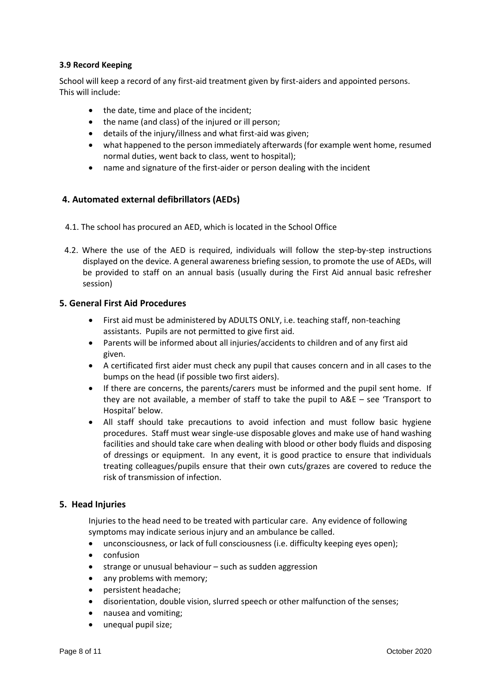#### **3.9 Record Keeping**

School will keep a record of any first-aid treatment given by first-aiders and appointed persons. This will include:

- the date, time and place of the incident;
- the name (and class) of the injured or ill person;
- details of the injury/illness and what first-aid was given;
- what happened to the person immediately afterwards (for example went home, resumed normal duties, went back to class, went to hospital);
- name and signature of the first-aider or person dealing with the incident

#### **4. Automated external defibrillators (AEDs)**

- 4.1. The school has procured an AED, which is located in the School Office
- 4.2. Where the use of the AED is required, individuals will follow the step-by-step instructions displayed on the device. A general awareness briefing session, to promote the use of AEDs, will be provided to staff on an annual basis (usually during the First Aid annual basic refresher session)

#### **5. General First Aid Procedures**

- First aid must be administered by ADULTS ONLY, i.e. teaching staff, non-teaching assistants. Pupils are not permitted to give first aid.
- Parents will be informed about all injuries/accidents to children and of any first aid given.
- A certificated first aider must check any pupil that causes concern and in all cases to the bumps on the head (if possible two first aiders).
- If there are concerns, the parents/carers must be informed and the pupil sent home. If they are not available, a member of staff to take the pupil to A&E – see 'Transport to Hospital' below.
- All staff should take precautions to avoid infection and must follow basic hygiene procedures. Staff must wear single-use disposable gloves and make use of hand washing facilities and should take care when dealing with blood or other body fluids and disposing of dressings or equipment. In any event, it is good practice to ensure that individuals treating colleagues/pupils ensure that their own cuts/grazes are covered to reduce the risk of transmission of infection.

#### **5. Head Injuries**

Injuries to the head need to be treated with particular care. Any evidence of following symptoms may indicate serious injury and an ambulance be called.

- unconsciousness, or lack of full consciousness (i.e. difficulty keeping eyes open);
- confusion
- $\bullet$  strange or unusual behaviour such as sudden aggression
- any problems with memory;
- persistent headache;
- disorientation, double vision, slurred speech or other malfunction of the senses;
- nausea and vomiting;
- unequal pupil size;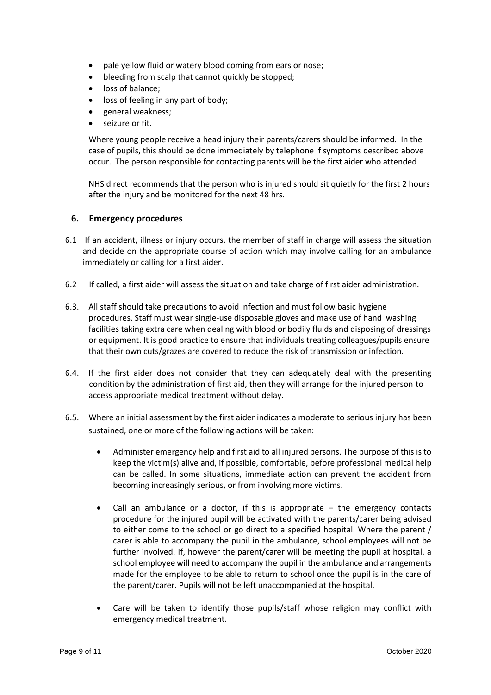- pale yellow fluid or watery blood coming from ears or nose;
- bleeding from scalp that cannot quickly be stopped;
- loss of balance;
- loss of feeling in any part of body;
- general weakness;
- seizure or fit.

Where young people receive a head injury their parents/carers should be informed. In the case of pupils, this should be done immediately by telephone if symptoms described above occur. The person responsible for contacting parents will be the first aider who attended

NHS direct recommends that the person who is injured should sit quietly for the first 2 hours after the injury and be monitored for the next 48 hrs.

#### **6. Emergency procedures**

- 6.1 If an accident, illness or injury occurs, the member of staff in charge will assess the situation and decide on the appropriate course of action which may involve calling for an ambulance immediately or calling for a first aider.
- 6.2 If called, a first aider will assess the situation and take charge of first aider administration.
- 6.3. All staff should take precautions to avoid infection and must follow basic hygiene procedures. Staff must wear single-use disposable gloves and make use of hand washing facilities taking extra care when dealing with blood or bodily fluids and disposing of dressings or equipment. It is good practice to ensure that individuals treating colleagues/pupils ensure that their own cuts/grazes are covered to reduce the risk of transmission or infection.
- 6.4. If the first aider does not consider that they can adequately deal with the presenting condition by the administration of first aid, then they will arrange for the injured person to access appropriate medical treatment without delay.
- 6.5. Where an initial assessment by the first aider indicates a moderate to serious injury has been sustained, one or more of the following actions will be taken:
	- Administer emergency help and first aid to all injured persons. The purpose of this is to keep the victim(s) alive and, if possible, comfortable, before professional medical help can be called. In some situations, immediate action can prevent the accident from becoming increasingly serious, or from involving more victims.
	- Call an ambulance or a doctor, if this is appropriate the emergency contacts procedure for the injured pupil will be activated with the parents/carer being advised to either come to the school or go direct to a specified hospital. Where the parent / carer is able to accompany the pupil in the ambulance, school employees will not be further involved. If, however the parent/carer will be meeting the pupil at hospital, a school employee will need to accompany the pupil in the ambulance and arrangements made for the employee to be able to return to school once the pupil is in the care of the parent/carer. Pupils will not be left unaccompanied at the hospital.
	- Care will be taken to identify those pupils/staff whose religion may conflict with emergency medical treatment.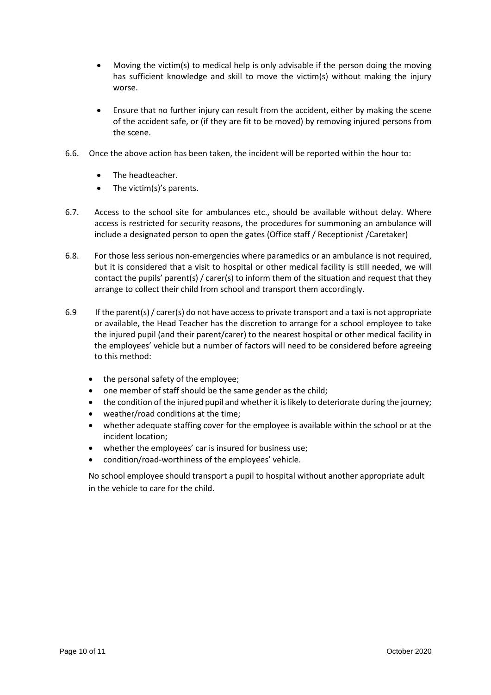- Moving the victim(s) to medical help is only advisable if the person doing the moving has sufficient knowledge and skill to move the victim(s) without making the injury worse.
- Ensure that no further injury can result from the accident, either by making the scene of the accident safe, or (if they are fit to be moved) by removing injured persons from the scene.
- 6.6. Once the above action has been taken, the incident will be reported within the hour to:
	- The headteacher.
	- The victim(s)'s parents.
- 6.7. Access to the school site for ambulances etc., should be available without delay. Where access is restricted for security reasons, the procedures for summoning an ambulance will include a designated person to open the gates (Office staff / Receptionist /Caretaker)
- 6.8. For those less serious non-emergencies where paramedics or an ambulance is not required, but it is considered that a visit to hospital or other medical facility is still needed, we will contact the pupils' parent(s) / carer(s) to inform them of the situation and request that they arrange to collect their child from school and transport them accordingly.
- 6.9 If the parent(s) / carer(s) do not have access to private transport and a taxi is not appropriate or available, the Head Teacher has the discretion to arrange for a school employee to take the injured pupil (and their parent/carer) to the nearest hospital or other medical facility in the employees' vehicle but a number of factors will need to be considered before agreeing to this method:
	- the personal safety of the employee;
	- one member of staff should be the same gender as the child;
	- the condition of the injured pupil and whether it is likely to deteriorate during the journey;
	- weather/road conditions at the time;
	- whether adequate staffing cover for the employee is available within the school or at the incident location;
	- whether the employees' car is insured for business use;
	- condition/road-worthiness of the employees' vehicle.

No school employee should transport a pupil to hospital without another appropriate adult in the vehicle to care for the child.